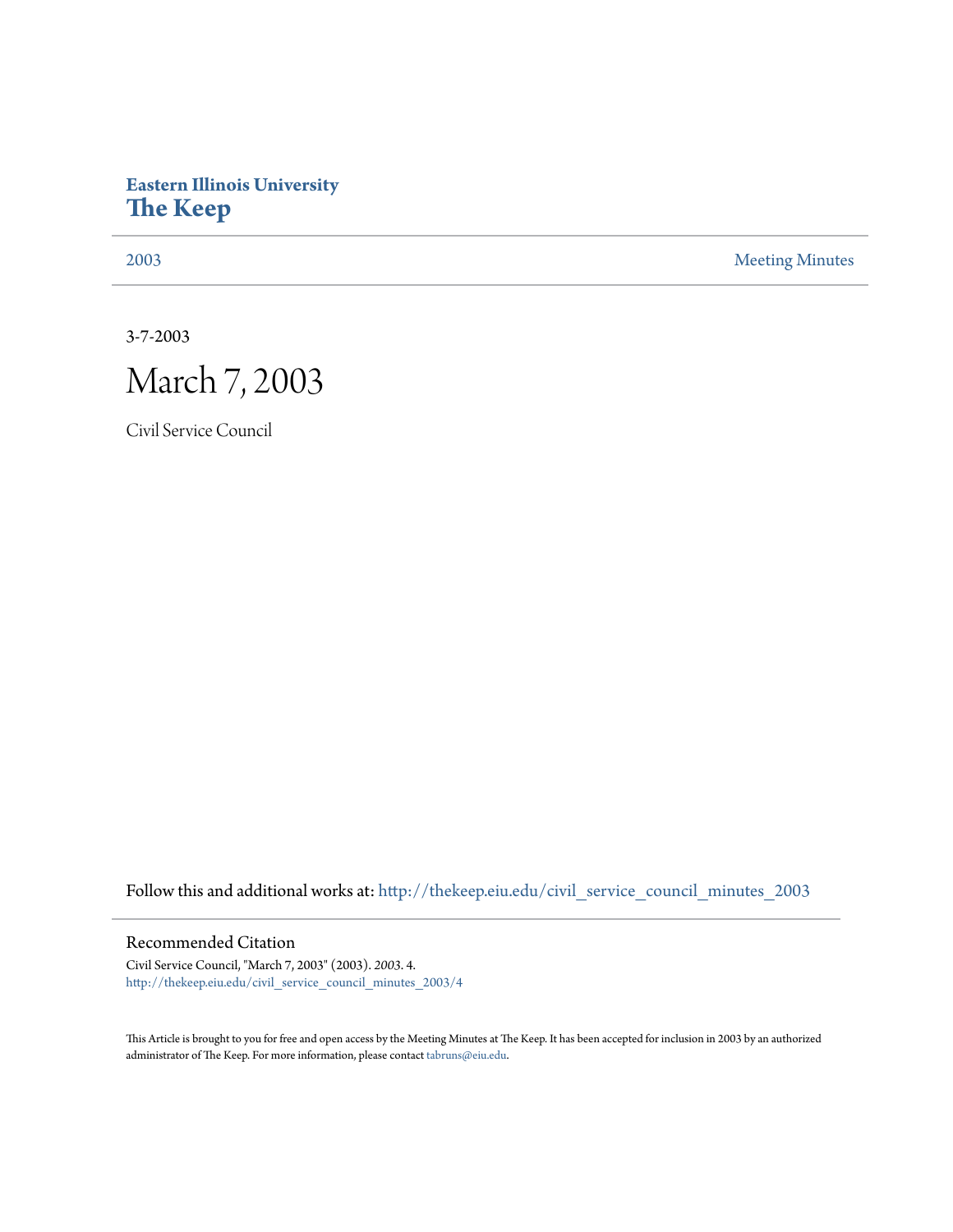## **Eastern Illinois University [The Keep](http://thekeep.eiu.edu?utm_source=thekeep.eiu.edu%2Fcivil_service_council_minutes_2003%2F4&utm_medium=PDF&utm_campaign=PDFCoverPages)**

[2003](http://thekeep.eiu.edu/civil_service_council_minutes_2003?utm_source=thekeep.eiu.edu%2Fcivil_service_council_minutes_2003%2F4&utm_medium=PDF&utm_campaign=PDFCoverPages) [Meeting Minutes](http://thekeep.eiu.edu/civil_service_council_minutes?utm_source=thekeep.eiu.edu%2Fcivil_service_council_minutes_2003%2F4&utm_medium=PDF&utm_campaign=PDFCoverPages)

3-7-2003



Civil Service Council

Follow this and additional works at: [http://thekeep.eiu.edu/civil\\_service\\_council\\_minutes\\_2003](http://thekeep.eiu.edu/civil_service_council_minutes_2003?utm_source=thekeep.eiu.edu%2Fcivil_service_council_minutes_2003%2F4&utm_medium=PDF&utm_campaign=PDFCoverPages)

## Recommended Citation

Civil Service Council, "March 7, 2003" (2003). *2003*. 4. [http://thekeep.eiu.edu/civil\\_service\\_council\\_minutes\\_2003/4](http://thekeep.eiu.edu/civil_service_council_minutes_2003/4?utm_source=thekeep.eiu.edu%2Fcivil_service_council_minutes_2003%2F4&utm_medium=PDF&utm_campaign=PDFCoverPages)

This Article is brought to you for free and open access by the Meeting Minutes at The Keep. It has been accepted for inclusion in 2003 by an authorized administrator of The Keep. For more information, please contact [tabruns@eiu.edu.](mailto:tabruns@eiu.edu)